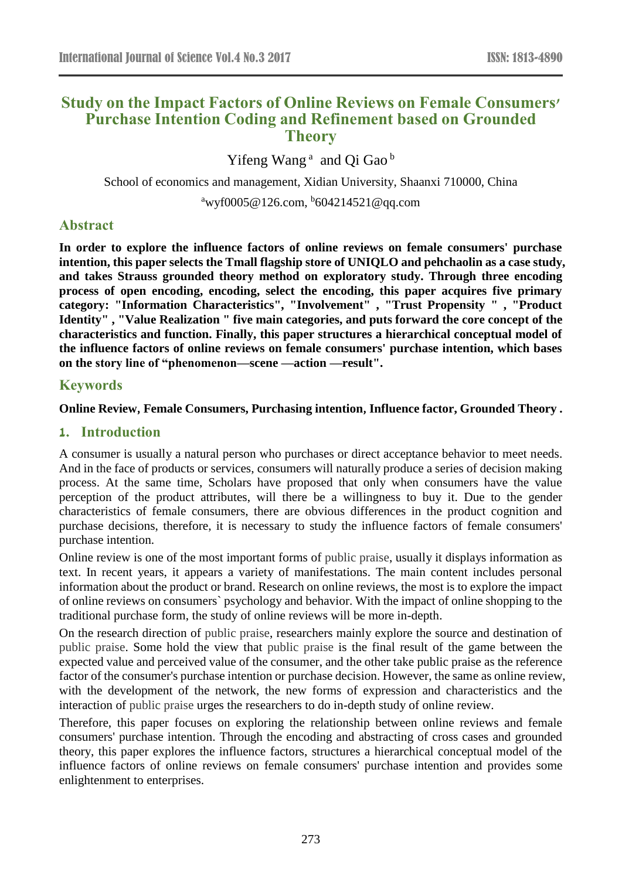# **Study on the Impact Factors of Online Reviews on Female Consumers' Purchase Intention Coding and Refinement based on Grounded Theory**

Yifeng Wang<sup>a</sup> and Qi Gao<sup>b</sup>

School of economics and management, Xidian University, Shaanxi 710000, China <sup>a</sup>wyf0005@126.com, <sup>b</sup>604214521@qq.com

# **Abstract**

**In order to explore the influence factors of online reviews on female consumers' purchase intention, this paper selects the Tmall flagship store of UNIQLO and pehchaolin as a case study, and takes Strauss grounded theory method on exploratory study. Through three encoding process of open encoding, encoding, select the encoding, this paper acquires five primary category: "Information Characteristics", "Involvement" , "Trust Propensity " , "Product Identity" , "Value Realization " five main categories, and puts forward the core concept of the characteristics and function. Finally, this paper structures a hierarchical conceptual model of the influence factors of online reviews on female consumers' purchase intention, which bases on the story line of "phenomenon—scene —action —result".**

### **Keywords**

### **Online Review**,**Female Consumers, Purchasing intention**,**Influence factor, Grounded Theory .**

# **1. Introduction**

A consumer is usually a natural person who purchases or direct acceptance behavior to meet needs. And in the face of products or services, consumers will naturally produce a series of decision making process. At the same time, Scholars have proposed that only when consumers have the value perception of the product attributes, will there be a willingness to buy it. Due to the gender characteristics of female consumers, there are obvious differences in the product cognition and purchase decisions, therefore, it is necessary to study the influence factors of female consumers' purchase intention.

Online review is one of the most important forms of [public praise,](http://www.baidu.com/link?url=15UG5_kvbrD4FbTDzSg1OUyHFf_S-rvhmRENZRxlkEe8u6UbIhYsPiy3P4OBBXFBYhFfHKS9S8OZC8mQRlnIDusm6B1hGASmWa6ZXcJVPoyB_C9SseYK3tDkUdqNqooj) usually it displays information as text. In recent years, it appears a variety of manifestations. The main content includes personal information about the product or brand. Research on online reviews, the most is to explore the impact of online reviews on consumers` psychology and behavior. With the impact of online shopping to the traditional purchase form, the study of online reviews will be more in-depth.

On the research direction of [public praise,](http://www.baidu.com/link?url=15UG5_kvbrD4FbTDzSg1OUyHFf_S-rvhmRENZRxlkEe8u6UbIhYsPiy3P4OBBXFBYhFfHKS9S8OZC8mQRlnIDusm6B1hGASmWa6ZXcJVPoyB_C9SseYK3tDkUdqNqooj) researchers mainly explore the source and destination of [public praise.](http://www.baidu.com/link?url=15UG5_kvbrD4FbTDzSg1OUyHFf_S-rvhmRENZRxlkEe8u6UbIhYsPiy3P4OBBXFBYhFfHKS9S8OZC8mQRlnIDusm6B1hGASmWa6ZXcJVPoyB_C9SseYK3tDkUdqNqooj) Some hold the view that [public praise](http://www.baidu.com/link?url=15UG5_kvbrD4FbTDzSg1OUyHFf_S-rvhmRENZRxlkEe8u6UbIhYsPiy3P4OBBXFBYhFfHKS9S8OZC8mQRlnIDusm6B1hGASmWa6ZXcJVPoyB_C9SseYK3tDkUdqNqooj) is the final result of the game between the expected value and perceived value of the consumer, and the other take [public praise](http://www.baidu.com/link?url=15UG5_kvbrD4FbTDzSg1OUyHFf_S-rvhmRENZRxlkEe8u6UbIhYsPiy3P4OBBXFBYhFfHKS9S8OZC8mQRlnIDusm6B1hGASmWa6ZXcJVPoyB_C9SseYK3tDkUdqNqooj) as the reference factor of the consumer's purchase intention or purchase decision. However, the same as online review, with the development of the network, the new forms of expression and characteristics and the interaction of [public praise](http://www.baidu.com/link?url=15UG5_kvbrD4FbTDzSg1OUyHFf_S-rvhmRENZRxlkEe8u6UbIhYsPiy3P4OBBXFBYhFfHKS9S8OZC8mQRlnIDusm6B1hGASmWa6ZXcJVPoyB_C9SseYK3tDkUdqNqooj) urges the researchers to do in-depth study of online review.

Therefore, this paper focuses on exploring the relationship between online reviews and female consumers' purchase intention. Through the encoding and abstracting of cross cases and grounded theory, this paper explores the influence factors, structures a hierarchical conceptual model of the influence factors of online reviews on female consumers' purchase intention and provides some enlightenment to enterprises.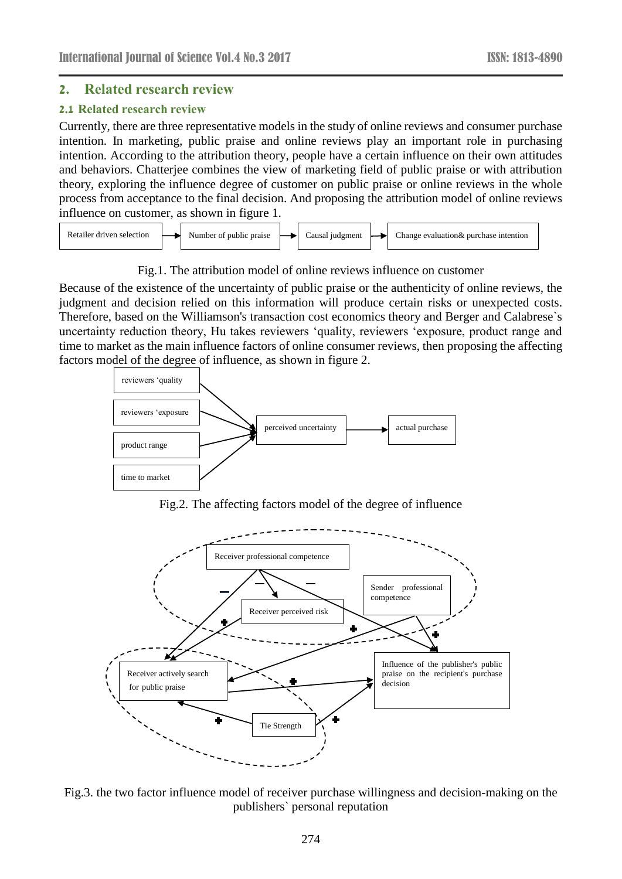### **2. Related research review**

#### **2.1 Related research review**

Currently, there are three representative models in the study of online reviews and consumer purchase intention. In marketing, public praise and online reviews play an important role in purchasing intention. According to the attribution theory, people have a certain influence on their own attitudes and behaviors. Chatterjee combines the view of marketing field of public praise or with attribution theory, exploring the influence degree of customer on public praise or online reviews in the whole process from acceptance to the final decision. And proposing the attribution model of online reviews influence on customer, as shown in figure 1.



### Fig.1. The attribution model of online reviews influence on customer

Because of the existence of the uncertainty of public praise or the authenticity of online reviews, the judgment and decision relied on this information will produce certain risks or unexpected costs. Therefore, based on the Williamson's transaction cost economics theory and Berger and Calabrese`s uncertainty reduction theory, Hu takes reviewers 'quality, reviewers 'exposure, product range and time to market as the main influence factors of online consumer reviews, then proposing the affecting factors model of the degree of influence, as shown in figure 2.



Fig.2. The affecting factors model of the degree of influence



Fig.3. the two factor influence model of receiver purchase willingness and decision-making on the publishers` personal reputation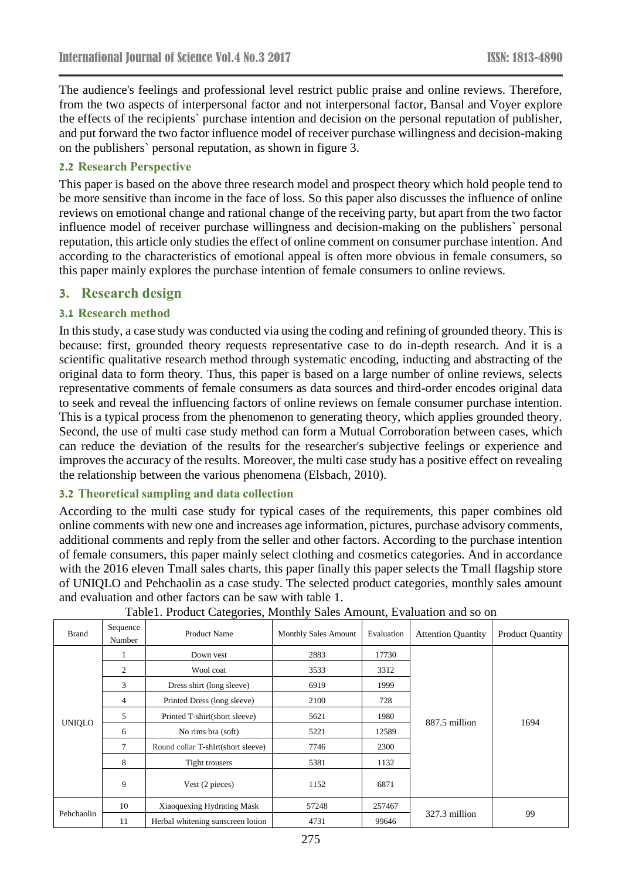The audience's feelings and professional level restrict public praise and online reviews. Therefore, from the two aspects of interpersonal factor and not interpersonal factor, Bansal and Voyer explore the effects of the recipients` purchase intention and decision on the personal reputation of publisher, and put forward the two factor influence model of receiver purchase willingness and decision-making on the publishers` personal reputation, as shown in figure 3.

### **2.2 Research Perspective**

This paper is based on the above three research model and prospect theory which hold people tend to be more sensitive than income in the face of loss. So this paper also discusses the influence of online reviews on emotional change and rational change of the receiving party, but apart from the two factor influence model of receiver purchase willingness and decision-making on the publishers` personal reputation, this article only studies the effect of online comment on consumer purchase intention. And according to the characteristics of emotional appeal is often more obvious in female consumers, so this paper mainly explores the purchase intention of female consumers to online reviews.

# **3. Research design**

### **3.1 Research method**

In this study, a case study was conducted via using the coding and refining of grounded theory. This is because: first, grounded theory requests representative case to do in-depth research. And it is a scientific qualitative research method through systematic encoding, inducting and abstracting of the original data to form theory. Thus, this paper is based on a large number of online reviews, selects representative comments of female consumers as data sources and third-order encodes original data to seek and reveal the influencing factors of online reviews on female consumer purchase intention. This is a typical process from the phenomenon to generating theory, which applies grounded theory. Second, the use of multi case study method can form a Mutual Corroboration between cases, which can reduce the deviation of the results for the researcher's subjective feelings or experience and improves the accuracy of the results. Moreover, the multi case study has a positive effect on revealing the relationship between the various phenomena (Elsbach, 2010).

### **3.2 Theoretical sampling and data collection**

According to the multi case study for typical cases of the requirements, this paper combines old online comments with new one and increases age information, pictures, purchase advisory comments, additional comments and reply from the seller and other factors. According to the purchase intention of female consumers, this paper mainly select clothing and cosmetics categories. And in accordance with the 2016 eleven Tmall sales charts, this paper finally this paper selects the Tmall flagship store of UNIQLO and Pehchaolin as a case study. The selected product categories, monthly sales amount and evaluation and other factors can be saw with table 1.

| <b>Brand</b>  | Sequence<br>Number | <b>Product Name</b>                | <b>Monthly Sales Amount</b> | Evaluation | <b>Attention Quantity</b> | <b>Product Quantity</b> |
|---------------|--------------------|------------------------------------|-----------------------------|------------|---------------------------|-------------------------|
| <b>UNIQLO</b> | 1                  | Down yest                          | 2883                        | 17730      |                           |                         |
|               | 2                  | Wool coat                          | 3533                        | 3312       |                           |                         |
|               | 3                  | Dress shirt (long sleeve)          | 6919                        | 1999       |                           |                         |
|               | $\overline{4}$     | Printed Dress (long sleeve)        | 2100                        | 728        |                           |                         |
|               | 5                  | Printed T-shirt(short sleeve)      | 5621                        | 1980       | 887.5 million             | 1694                    |
|               | 6                  | No rims bra (soft)                 | 5221                        | 12589      |                           |                         |
|               | 7                  | Round collar T-shirt(short sleeve) | 7746                        | 2300       |                           |                         |
|               | 8                  | Tight trousers                     | 5381                        | 1132       |                           |                         |
|               | 9                  | Vest (2 pieces)                    | 1152                        | 6871       |                           |                         |
| Pehchaolin    | 10                 | Xiaoquexing Hydrating Mask         | 57248                       | 257467     |                           |                         |
|               | 11                 | Herbal whitening sunscreen lotion  | 4731                        | 99646      | 327.3 million             | 99                      |

Table1. Product Categories, Monthly Sales Amount, Evaluation and so on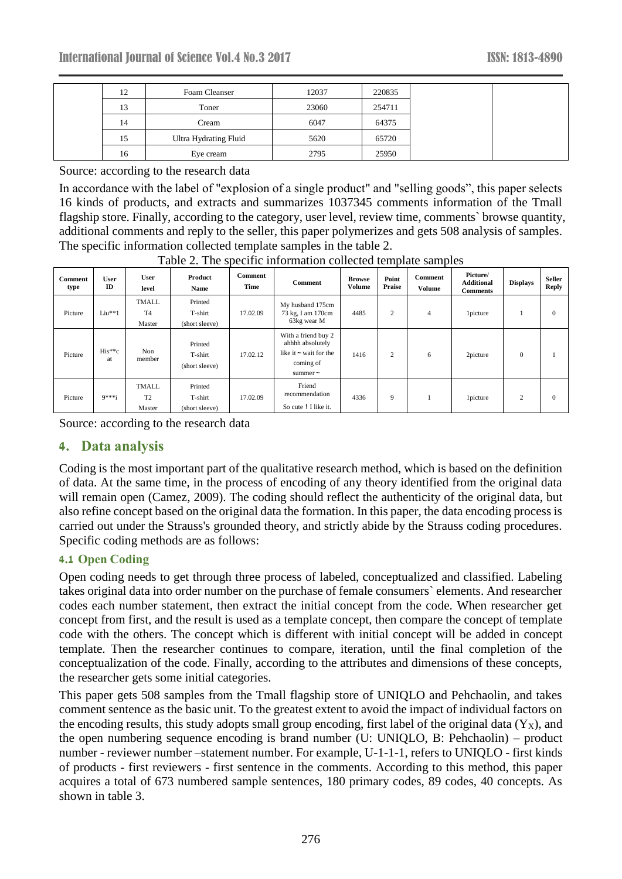| 12 | Foam Cleanser         | 12037 | 220835 |
|----|-----------------------|-------|--------|
| 13 | Toner                 | 23060 | 254711 |
| 14 | Cream                 | 6047  | 64375  |
| 15 | Ultra Hydrating Fluid | 5620  | 65720  |
| 16 | Eye cream             | 2795  | 25950  |

Source: according to the research data

In accordance with the label of "explosion of a single product" and "selling goods", this paper selects 16 kinds of products, and extracts and summarizes 1037345 comments information of the Tmall flagship store. Finally, according to the category, user level, review time, comments` browse quantity, additional comments and reply to the seller, this paper polymerizes and gets 508 analysis of samples. The specific information collected template samples in the table 2.

| <b>Comment</b><br>type | User<br>$\mathbf{ID}$ | <b>User</b><br>level                     | Product<br>Name                      | Comment<br>Time | Comment                                                                                              | <b>Browse</b><br><b>Volume</b> | Point<br>Praise | Comment<br><b>Volume</b> | Picture/<br><b>Additional</b><br><b>Comments</b> | <b>Displays</b> | <b>Seller</b><br><b>Reply</b> |
|------------------------|-----------------------|------------------------------------------|--------------------------------------|-----------------|------------------------------------------------------------------------------------------------------|--------------------------------|-----------------|--------------------------|--------------------------------------------------|-----------------|-------------------------------|
| Picture                | $Liu**1$              | <b>TMALL</b><br>T <sub>4</sub><br>Master | Printed<br>T-shirt<br>(short sleeve) | 17.02.09        | My husband 175cm<br>73 kg, I am 170cm<br>63kg wear M                                                 | 4485                           | 2               | $\overline{4}$           | <i>l</i> picture                                 |                 | $\Omega$                      |
| Picture                | $His**c$<br>at        | Non<br>member                            | Printed<br>T-shirt<br>(short sleeve) | 17.02.12        | With a friend buy 2<br>ahhhh absolutely<br>like it $\sim$ wait for the<br>coming of<br>summer $\sim$ | 1416                           | 2               | 6                        | 2picture                                         | $\mathbf{0}$    |                               |
| Picture                | $9***i$               | <b>TMALL</b><br>T <sub>2</sub><br>Master | Printed<br>T-shirt<br>(short sleeve) | 17.02.09        | Friend<br>recommendation<br>So cute ! I like it.                                                     | 4336                           | 9               |                          | <i>l</i> picture                                 | 2               | $\Omega$                      |

Table 2. The specific information collected template samples

Source: according to the research data

# **4. Data analysis**

Coding is the most important part of the qualitative research method, which is based on the definition of data. At the same time, in the process of encoding of any theory identified from the original data will remain open (Camez, 2009). The coding should reflect the authenticity of the original data, but also refine concept based on the original data the formation. In this paper, the data encoding process is carried out under the Strauss's grounded theory, and strictly abide by the Strauss coding procedures. Specific coding methods are as follows:

### **4.1 Open Coding**

Open coding needs to get through three process of labeled, conceptualized and classified. Labeling takes original data into order number on the purchase of female consumers` elements. And researcher codes each number statement, then extract the initial concept from the code. When researcher get concept from first, and the result is used as a template concept, then compare the concept of template code with the others. The concept which is different with initial concept will be added in concept template. Then the researcher continues to compare, iteration, until the final completion of the conceptualization of the code. Finally, according to the attributes and dimensions of these concepts, the researcher gets some initial categories.

This paper gets 508 samples from the Tmall flagship store of UNIQLO and Pehchaolin, and takes comment sentence as the basic unit. To the greatest extent to avoid the impact of individual factors on the encoding results, this study adopts small group encoding, first label of the original data  $(Y_X)$ , and the open numbering sequence encoding is brand number (U: UNIQLO, B: Pehchaolin) – product number - reviewer number –statement number. For example, U-1-1-1, refers to UNIQLO - first kinds of products - first reviewers - first sentence in the comments. According to this method, this paper acquires a total of 673 numbered sample sentences, 180 primary codes, 89 codes, 40 concepts. As shown in table 3.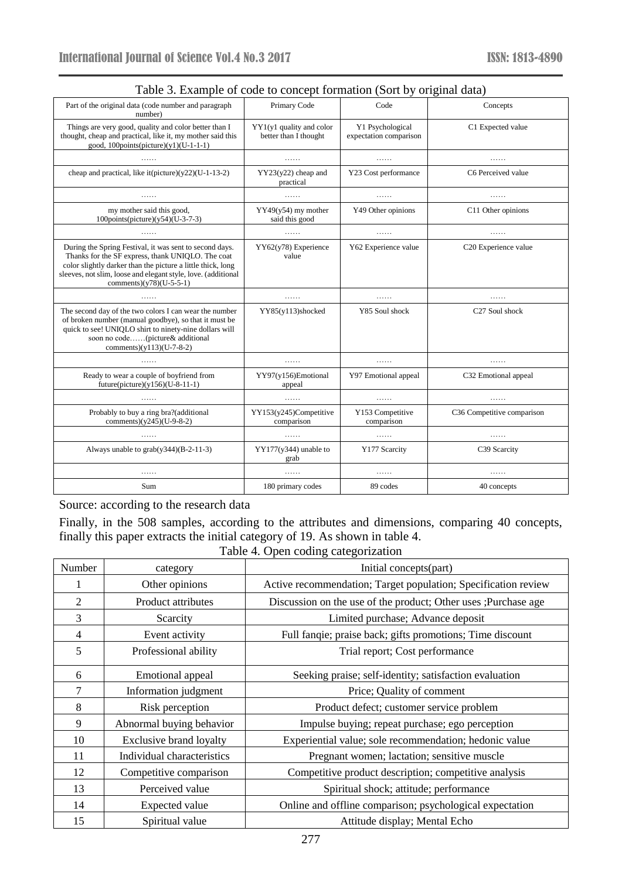| Table 5. Example of coac to concept formation (bort by original data)                                                                                                                                                                                                      |                                                   |                                            |                            |
|----------------------------------------------------------------------------------------------------------------------------------------------------------------------------------------------------------------------------------------------------------------------------|---------------------------------------------------|--------------------------------------------|----------------------------|
| Part of the original data (code number and paragraph<br>number)                                                                                                                                                                                                            | Primary Code                                      | Code                                       | Concepts                   |
| Things are very good, quality and color better than I<br>thought, cheap and practical, like it, my mother said this<br>good, $100$ points(picture)(y1)(U-1-1-1)                                                                                                            | YY1(y1 quality and color<br>better than I thought | Y1 Psychological<br>expectation comparison | C1 Expected value          |
| .                                                                                                                                                                                                                                                                          | .                                                 | .                                          | .                          |
| cheap and practical, like it(picture) $(y22)(U-1-13-2)$                                                                                                                                                                                                                    | $YY23(y22)$ cheap and<br>practical                | Y23 Cost performance                       | C6 Perceived value         |
| .                                                                                                                                                                                                                                                                          | .                                                 | .                                          | .                          |
| my mother said this good,<br>100points(picture)(y54)(U-3-7-3)                                                                                                                                                                                                              | $YY49(y54)$ my mother<br>said this good           | Y49 Other opinions                         | C11 Other opinions         |
| .                                                                                                                                                                                                                                                                          | .                                                 | .                                          | .                          |
| During the Spring Festival, it was sent to second days.<br>Thanks for the SF express, thank UNIQLO. The coat<br>color slightly darker than the picture a little thick, long<br>sleeves, not slim, loose and elegant style, love. (additional<br>comments) $(y78)(U-5-5-1)$ | $YY62(y78)$ Experience<br>value                   | Y62 Experience value                       | C20 Experience value       |
| .                                                                                                                                                                                                                                                                          | .                                                 | .                                          | .                          |
| The second day of the two colors I can wear the number<br>of broken number (manual goodbye), so that it must be<br>quick to see! UNIQLO shirt to ninety-nine dollars will<br>soon no code(picture& additional<br>comments) $(y113)(U-7-8-2)$                               | YY85(y113)shocked                                 | Y85 Soul shock                             | C27 Soul shock             |
| .                                                                                                                                                                                                                                                                          | .                                                 | .                                          | .                          |
| Ready to wear a couple of boyfriend from<br>future(picture) $(y156)(U-8-11-1)$                                                                                                                                                                                             | YY97(y156)Emotional<br>appeal                     | Y97 Emotional appeal                       | C32 Emotional appeal       |
|                                                                                                                                                                                                                                                                            | .                                                 | .                                          |                            |
| Probably to buy a ring bra?(additional<br>comments) $(y245)(U-9-8-2)$                                                                                                                                                                                                      | YY153(y245)Competitive<br>comparison              | Y153 Competitive<br>comparison             | C36 Competitive comparison |
|                                                                                                                                                                                                                                                                            | .                                                 | .                                          | .                          |
| Always unable to grab(y344)(B-2-11-3)                                                                                                                                                                                                                                      | $YY177(y344)$ unable to<br>grab                   | Y177 Scarcity                              | C39 Scarcity               |
| .                                                                                                                                                                                                                                                                          | .                                                 | .                                          | .                          |
|                                                                                                                                                                                                                                                                            |                                                   |                                            |                            |

|  |  |  | Table 3. Example of code to concept formation (Sort by original data) |
|--|--|--|-----------------------------------------------------------------------|
|--|--|--|-----------------------------------------------------------------------|

Source: according to the research data

Finally, in the 508 samples, according to the attributes and dimensions, comparing 40 concepts, finally this paper extracts the initial category of 19. As shown in table 4.

Table 4. Open coding categorization

| Number         | Initial concepts(part)<br>category |                                                                 |
|----------------|------------------------------------|-----------------------------------------------------------------|
|                | Other opinions                     | Active recommendation; Target population; Specification review  |
| $\overline{2}$ | Product attributes                 | Discussion on the use of the product; Other uses ; Purchase age |
| 3              | Scarcity                           | Limited purchase; Advance deposit                               |
| $\overline{4}$ | Event activity                     | Full fanqie; praise back; gifts promotions; Time discount       |
| 5              | Professional ability               | Trial report; Cost performance                                  |
| 6              | Emotional appeal                   | Seeking praise; self-identity; satisfaction evaluation          |
| 7              | Information judgment               | Price; Quality of comment                                       |
| 8              | Risk perception                    | Product defect; customer service problem                        |
| 9              | Abnormal buying behavior           | Impulse buying; repeat purchase; ego perception                 |
| 10             | <b>Exclusive brand loyalty</b>     | Experiential value; sole recommendation; hedonic value          |
| 11             | Individual characteristics         | Pregnant women; lactation; sensitive muscle                     |
| 12             | Competitive comparison             | Competitive product description; competitive analysis           |
| 13             | Perceived value                    | Spiritual shock; attitude; performance                          |
| 14             | <b>Expected value</b>              | Online and offline comparison; psychological expectation        |
| 15             | Spiritual value                    | Attitude display; Mental Echo                                   |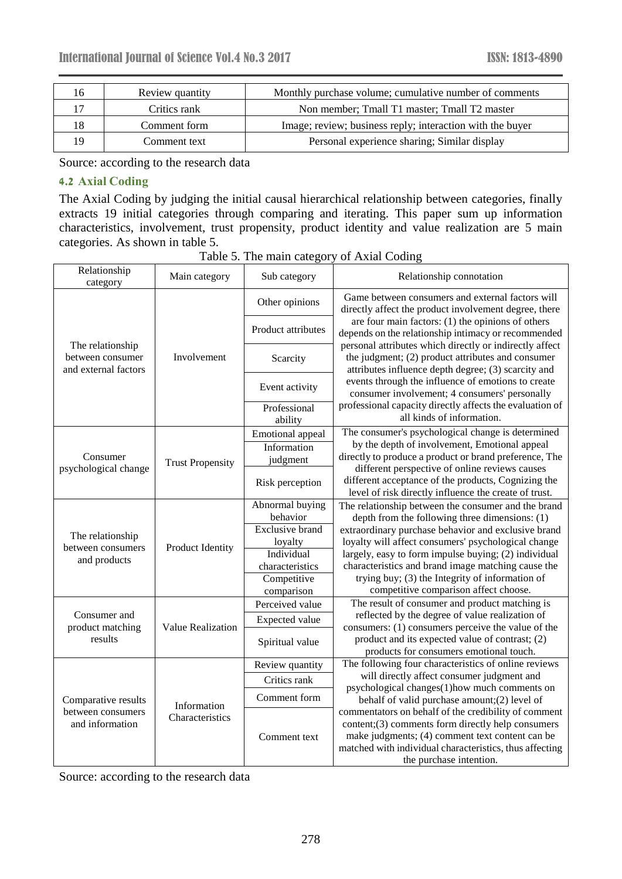| 16 | Review quantity | Monthly purchase volume; cumulative number of comments    |
|----|-----------------|-----------------------------------------------------------|
|    | Critics rank    | Non member; Tmall T1 master; Tmall T2 master              |
| 18 | Comment form    | Image; review; business reply; interaction with the buyer |
| 19 | Comment text    | Personal experience sharing; Similar display              |
|    |                 |                                                           |

Source: according to the research data

# **4.2 Axial Coding**

The Axial Coding by judging the initial causal hierarchical relationship between categories, finally extracts 19 initial categories through comparing and iterating. This paper sum up information characteristics, involvement, trust propensity, product identity and value realization are 5 main categories. As shown in table 5.

| Relationship<br>category                                     | Main category                  | Sub category            | Relationship connotation                                                                                                                                                                                                                           |
|--------------------------------------------------------------|--------------------------------|-------------------------|----------------------------------------------------------------------------------------------------------------------------------------------------------------------------------------------------------------------------------------------------|
|                                                              |                                | Other opinions          | Game between consumers and external factors will<br>directly affect the product involvement degree, there                                                                                                                                          |
|                                                              | Involvement                    | Product attributes      | are four main factors: (1) the opinions of others<br>depends on the relationship intimacy or recommended                                                                                                                                           |
| The relationship<br>between consumer<br>and external factors |                                | Scarcity                | personal attributes which directly or indirectly affect<br>the judgment; (2) product attributes and consumer<br>attributes influence depth degree; (3) scarcity and                                                                                |
|                                                              |                                | Event activity          | events through the influence of emotions to create<br>consumer involvement; 4 consumers' personally                                                                                                                                                |
|                                                              |                                | Professional<br>ability | professional capacity directly affects the evaluation of<br>all kinds of information.                                                                                                                                                              |
|                                                              |                                | Emotional appeal        | The consumer's psychological change is determined                                                                                                                                                                                                  |
|                                                              | <b>Trust Propensity</b>        | Information             | by the depth of involvement, Emotional appeal                                                                                                                                                                                                      |
| Consumer                                                     |                                | judgment                | directly to produce a product or brand preference, The                                                                                                                                                                                             |
| psychological change                                         |                                | Risk perception         | different perspective of online reviews causes<br>different acceptance of the products, Cognizing the<br>level of risk directly influence the create of trust.                                                                                     |
|                                                              | Product Identity               | Abnormal buying         | The relationship between the consumer and the brand                                                                                                                                                                                                |
|                                                              |                                | behavior                | depth from the following three dimensions: (1)                                                                                                                                                                                                     |
| The relationship                                             |                                | <b>Exclusive brand</b>  | extraordinary purchase behavior and exclusive brand                                                                                                                                                                                                |
| between consumers                                            |                                | loyalty                 | loyalty will affect consumers' psychological change                                                                                                                                                                                                |
| and products                                                 |                                | Individual              | largely, easy to form impulse buying; (2) individual                                                                                                                                                                                               |
|                                                              |                                | characteristics         | characteristics and brand image matching cause the                                                                                                                                                                                                 |
|                                                              |                                | Competitive             | trying buy; (3) the Integrity of information of                                                                                                                                                                                                    |
|                                                              |                                | comparison              | competitive comparison affect choose.                                                                                                                                                                                                              |
|                                                              |                                | Perceived value         | The result of consumer and product matching is                                                                                                                                                                                                     |
| Consumer and                                                 |                                | Expected value          | reflected by the degree of value realization of                                                                                                                                                                                                    |
| product matching<br>results                                  | <b>Value Realization</b>       | Spiritual value         | consumers: (1) consumers perceive the value of the<br>product and its expected value of contrast; (2)<br>products for consumers emotional touch.                                                                                                   |
|                                                              |                                | Review quantity         | The following four characteristics of online reviews                                                                                                                                                                                               |
|                                                              | Information<br>Characteristics | Critics rank            | will directly affect consumer judgment and                                                                                                                                                                                                         |
| Comparative results                                          |                                | Comment form            | psychological changes(1)how much comments on<br>behalf of valid purchase amount; (2) level of                                                                                                                                                      |
| between consumers<br>and information                         |                                | Comment text            | commentators on behalf of the credibility of comment<br>content;(3) comments form directly help consumers<br>make judgments; (4) comment text content can be<br>matched with individual characteristics, thus affecting<br>the purchase intention. |

Table 5. The main category of Axial Coding

Source: according to the research data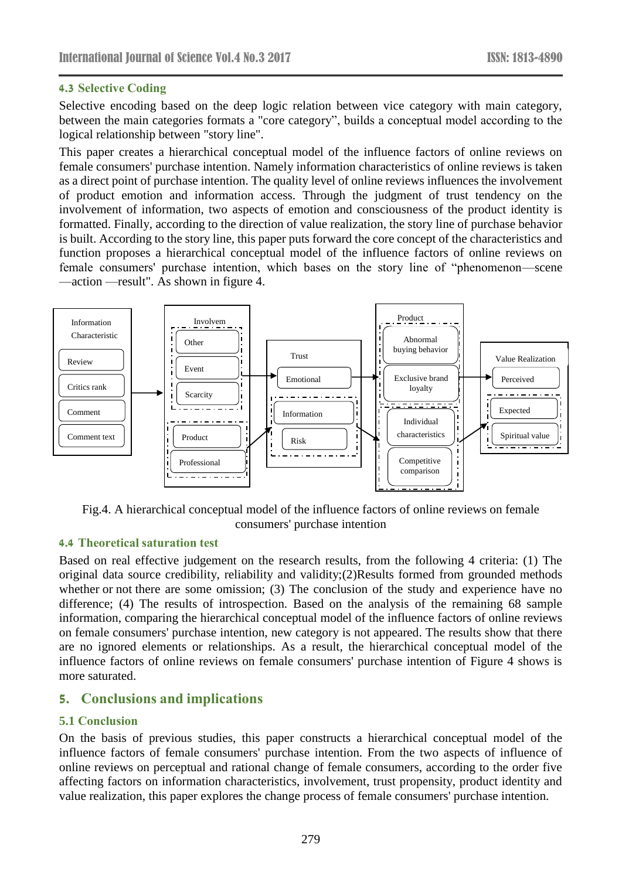### **4.3 Selective Coding**

Selective encoding based on the deep logic relation between vice category with main category, between the main categories formats a "core category", builds a conceptual model according to the logical relationship between "story line".

This paper creates a hierarchical conceptual model of the influence factors of online reviews on female consumers' purchase intention. Namely information characteristics of online reviews is taken as a direct point of purchase intention. The quality level of online reviews influences the involvement of product emotion and information access. Through the judgment of trust tendency on the involvement of information, two aspects of emotion and consciousness of the product identity is formatted. Finally, according to the direction of value realization, the story line of purchase behavior is built. According to the story line, this paper puts forward the core concept of the characteristics and function proposes a hierarchical conceptual model of the influence factors of online reviews on female consumers' purchase intention, which bases on the story line of "phenomenon—scene —action —result". As shown in figure 4.



Fig.4. A hierarchical conceptual model of the influence factors of online reviews on female consumers' purchase intention

### **4.4 Theoretical saturation test**

Based on real effective judgement on the research results, from the following 4 criteria: (1) The original data source credibility, reliability and validity;(2)Results formed from grounded methods whether or not there are some omission; (3) The conclusion of the study and experience have no difference; (4) The results of introspection. Based on the analysis of the remaining 68 sample information, comparing the hierarchical conceptual model of the influence factors of online reviews on female consumers' purchase intention, new category is not appeared. The results show that there are no ignored elements or relationships. As a result, the hierarchical conceptual model of the influence factors of online reviews on female consumers' purchase intention of Figure 4 shows is more saturated.

# **5. Conclusions and implications**

### **5.1 Conclusion**

On the basis of previous studies, this paper constructs a hierarchical conceptual model of the influence factors of female consumers' purchase intention. From the two aspects of influence of online reviews on perceptual and rational change of female consumers, according to the order five affecting factors on information characteristics, involvement, trust propensity, product identity and value realization, this paper explores the change process of female consumers' purchase intention.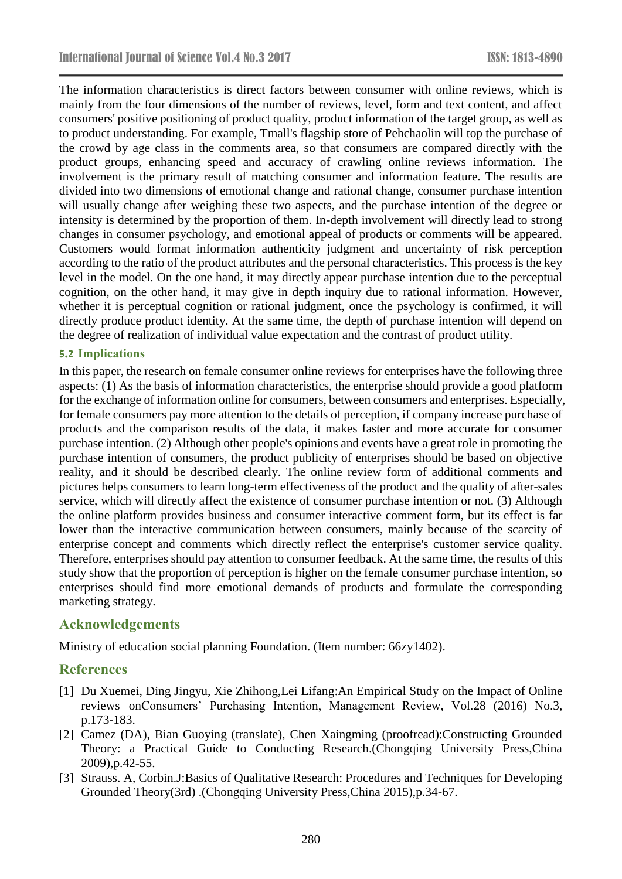The information characteristics is direct factors between consumer with online reviews, which is mainly from the four dimensions of the number of reviews, level, form and text content, and affect consumers' positive positioning of product quality, product information of the target group, as well as to product understanding. For example, Tmall's flagship store of Pehchaolin will top the purchase of the crowd by age class in the comments area, so that consumers are compared directly with the product groups, enhancing speed and accuracy of crawling online reviews information. The involvement is the primary result of matching consumer and information feature. The results are divided into two dimensions of emotional change and rational change, consumer purchase intention will usually change after weighing these two aspects, and the purchase intention of the degree or intensity is determined by the proportion of them. In-depth involvement will directly lead to strong changes in consumer psychology, and emotional appeal of products or comments will be appeared. Customers would format information authenticity judgment and uncertainty of risk perception according to the ratio of the product attributes and the personal characteristics. This process is the key level in the model. On the one hand, it may directly appear purchase intention due to the perceptual cognition, on the other hand, it may give in depth inquiry due to rational information. However, whether it is perceptual cognition or rational judgment, once the psychology is confirmed, it will directly produce product identity. At the same time, the depth of purchase intention will depend on the degree of realization of individual value expectation and the contrast of product utility.

### **5.2 Implications**

In this paper, the research on female consumer online reviews for enterprises have the following three aspects: (1) As the basis of information characteristics, the enterprise should provide a good platform for the exchange of information online for consumers, between consumers and enterprises. Especially, for female consumers pay more attention to the details of perception, if company increase purchase of products and the comparison results of the data, it makes faster and more accurate for consumer purchase intention. (2) Although other people's opinions and events have a great role in promoting the purchase intention of consumers, the product publicity of enterprises should be based on objective reality, and it should be described clearly. The online review form of additional comments and pictures helps consumers to learn long-term effectiveness of the product and the quality of after-sales service, which will directly affect the existence of consumer purchase intention or not. (3) Although the online platform provides business and consumer interactive comment form, but its effect is far lower than the interactive communication between consumers, mainly because of the scarcity of enterprise concept and comments which directly reflect the enterprise's customer service quality. Therefore, enterprises should pay attention to consumer feedback. At the same time, the results of this study show that the proportion of perception is higher on the female consumer purchase intention, so enterprises should find more emotional demands of products and formulate the corresponding marketing strategy.

### **Acknowledgements**

Ministry of education social planning Foundation. (Item number: 66zy1402).

# **References**

- [1] Du Xuemei, Ding Jingyu, Xie Zhihong,Lei Lifang:An Empirical Study on the Impact of Online reviews onConsumers' Purchasing Intention, Management Review, Vol.28 (2016) No.3, p.173-183.
- [2] Camez (DA), Bian Guoying (translate), Chen Xaingming (proofread):Constructing Grounded Theory: a Practical Guide to Conducting Research.(Chongqing University Press,China 2009),p.42-55.
- [3] Strauss. A, Corbin.J:Basics of Qualitative Research: Procedures and Techniques for Developing Grounded Theory(3rd) .(Chongqing University Press,China 2015),p.34-67.